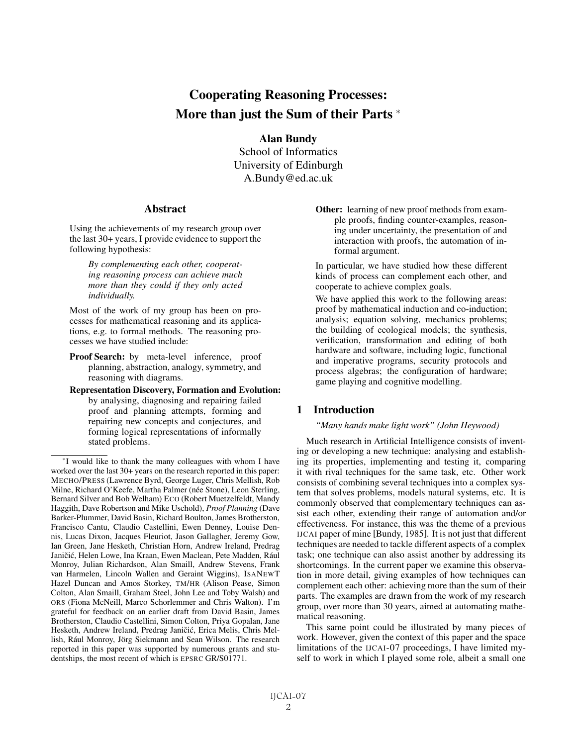# Cooperating Reasoning Processes: More than just the Sum of their Parts <sup>∗</sup>

Alan Bundy School of Informatics University of Edinburgh A.Bundy@ed.ac.uk

### **Abstract**

Using the achievements of my research group over the last 30+ years, I provide evidence to support the following hypothesis:

> *By complementing each other, cooperating reasoning process can achieve much more than they could if they only acted individually.*

Most of the work of my group has been on processes for mathematical reasoning and its applications, e.g. to formal methods. The reasoning processes we have studied include:

Proof Search: by meta-level inference, proof planning, abstraction, analogy, symmetry, and reasoning with diagrams.

Representation Discovery, Formation and Evolution: by analysing, diagnosing and repairing failed proof and planning attempts, forming and repairing new concepts and conjectures, and forming logical representations of informally stated problems.

In particular, we have studied how these different kinds of process can complement each other, and cooperate to achieve complex goals.

We have applied this work to the following areas: proof by mathematical induction and co-induction; analysis; equation solving, mechanics problems; the building of ecological models; the synthesis, verification, transformation and editing of both hardware and software, including logic, functional and imperative programs, security protocols and process algebras; the configuration of hardware; game playing and cognitive modelling.

# 1 Introduction

#### *"Many hands make light work" (John Heywood)*

Much research in Artificial Intelligence consists of inventing or developing a new technique: analysing and establishing its properties, implementing and testing it, comparing it with rival techniques for the same task, etc. Other work consists of combining several techniques into a complex system that solves problems, models natural systems, etc. It is commonly observed that complementary techniques can assist each other, extending their range of automation and/or effectiveness. For instance, this was the theme of a previous IJCAI paper of mine [Bundy, 1985]. It is not just that different techniques are needed to tackle different aspects of a complex task; one technique can also assist another by addressing its shortcomings. In the current paper we examine this observation in more detail, giving examples of how techniques can complement each other: achieving more than the sum of their parts. The examples are drawn from the work of my research group, over more than 30 years, aimed at automating mathematical reasoning.

This same point could be illustrated by many pieces of work. However, given the context of this paper and the space limitations of the IJCAI-07 proceedings, I have limited myself to work in which I played some role, albeit a small one

<sup>∗</sup>I would like to thank the many colleagues with whom I have worked over the last 30+ years on the research reported in this paper: MECHO/PRESS (Lawrence Byrd, George Luger, Chris Mellish, Rob Milne, Richard O'Keefe, Martha Palmer (née Stone), Leon Sterling, Bernard Silver and Bob Welham) ECO (Robert Muetzelfeldt, Mandy Haggith, Dave Robertson and Mike Uschold), *Proof Planning* (Dave Barker-Plummer, David Basin, Richard Boulton, James Brotherston, Francisco Cantu, Claudio Castellini, Ewen Denney, Louise Dennis, Lucas Dixon, Jacques Fleuriot, Jason Gallagher, Jeremy Gow, Ian Green, Jane Hesketh, Christian Horn, Andrew Ireland, Predrag Janičić, Helen Lowe, Ina Kraan, Ewen Maclean, Pete Madden, Rául Monroy, Julian Richardson, Alan Smaill, Andrew Stevens, Frank van Harmelen, Lincoln Wallen and Geraint Wiggins), ISANEWT Hazel Duncan and Amos Storkey, TM/HR (Alison Pease, Simon Colton, Alan Smaill, Graham Steel, John Lee and Toby Walsh) and ORS (Fiona McNeill, Marco Schorlemmer and Chris Walton). I'm grateful for feedback on an earlier draft from David Basin, James Brotherston, Claudio Castellini, Simon Colton, Priya Gopalan, Jane Hesketh, Andrew Ireland, Predrag Janičić, Erica Melis, Chris Mellish, Rául Monroy, Jörg Siekmann and Sean Wilson. The research reported in this paper was supported by numerous grants and studentships, the most recent of which is EPSRC GR/S01771.

Other: learning of new proof methods from example proofs, finding counter-examples, reasoning under uncertainty, the presentation of and interaction with proofs, the automation of informal argument.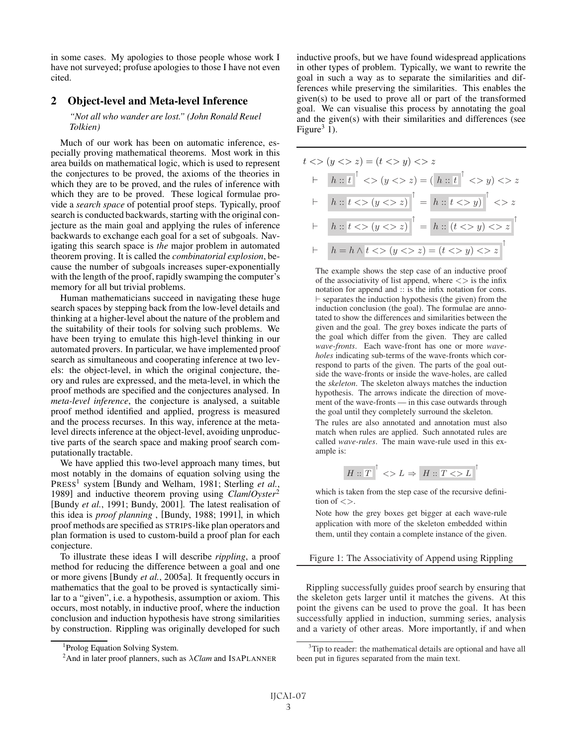in some cases. My apologies to those people whose work I have not surveyed; profuse apologies to those I have not even cited.

## 2 Object-level and Meta-level Inference

#### *"Not all who wander are lost." (John Ronald Reuel Tolkien)*

Much of our work has been on automatic inference, especially proving mathematical theorems. Most work in this area builds on mathematical logic, which is used to represent the conjectures to be proved, the axioms of the theories in which they are to be proved, and the rules of inference with which they are to be proved. These logical formulae provide a *search space* of potential proof steps. Typically, proof search is conducted backwards, starting with the original conjecture as the main goal and applying the rules of inference backwards to exchange each goal for a set of subgoals. Navigating this search space is *the* major problem in automated theorem proving. It is called the *combinatorial explosion*, because the number of subgoals increases super-exponentially with the length of the proof, rapidly swamping the computer's memory for all but trivial problems.

Human mathematicians succeed in navigating these huge search spaces by stepping back from the low-level details and thinking at a higher-level about the nature of the problem and the suitability of their tools for solving such problems. We have been trying to emulate this high-level thinking in our automated provers. In particular, we have implemented proof search as simultaneous and cooperating inference at two levels: the object-level, in which the original conjecture, theory and rules are expressed, and the meta-level, in which the proof methods are specified and the conjectures analysed. In *meta-level inference*, the conjecture is analysed, a suitable proof method identified and applied, progress is measured and the process recurses. In this way, inference at the metalevel directs inference at the object-level, avoiding unproductive parts of the search space and making proof search computationally tractable.

We have applied this two-level approach many times, but most notably in the domains of equation solving using the PRESS<sup>1</sup> system [Bundy and Welham, 1981; Sterling et al., 1989] and inductive theorem proving using *Clam*/*Oyster*<sup>2</sup> [Bundy *et al.*, 1991; Bundy, 2001]. The latest realisation of this idea is *proof planning* , [Bundy, 1988; 1991], in which proof methods are specified as STRIPS-like plan operators and plan formation is used to custom-build a proof plan for each conjecture.

To illustrate these ideas I will describe *rippling*, a proof method for reducing the difference between a goal and one or more givens [Bundy *et al.*, 2005a]. It frequently occurs in mathematics that the goal to be proved is syntactically similar to a "given", i.e. a hypothesis, assumption or axiom. This occurs, most notably, in inductive proof, where the induction conclusion and induction hypothesis have strong similarities by construction. Rippling was originally developed for such inductive proofs, but we have found widespread applications in other types of problem. Typically, we want to rewrite the goal in such a way as to separate the similarities and differences while preserving the similarities. This enables the given(s) to be used to prove all or part of the transformed goal. We can visualise this process by annotating the goal and the given(s) with their similarities and differences (see Figure<sup>3</sup> 1).

$$
t \iff (y \iff z) = (t \iff y) \iff z
$$
  
\n
$$
\vdash \quad h :: t \quad \uparrow \iff (y \iff z) = (\quad h :: t \quad \uparrow \iff y) \iff z
$$
  
\n
$$
\vdash \quad h :: t \iff (y \iff z) \quad \uparrow = h :: t \iff y) \quad \uparrow \iff z
$$
  
\n
$$
\vdash \quad h :: t \iff (y \iff z) \quad \uparrow = h :: (t \iff y) \iff z \quad \uparrow
$$
  
\n
$$
\vdash \quad h :: h \iff t \iff (y \iff z) = (t \iff y) \iff z \quad \uparrow
$$

The example shows the step case of an inductive proof of the associativity of list append, where  $\langle \rangle$  is the infix notation for append and :: is the infix notation for cons.  $\vdash$  separates the induction hypothesis (the given) from the induction conclusion (the goal). The formulae are annotated to show the differences and similarities between the given and the goal. The grey boxes indicate the parts of the goal which differ from the given. They are called *wave-fronts*. Each wave-front has one or more *waveholes* indicating sub-terms of the wave-fronts which correspond to parts of the given. The parts of the goal outside the wave-fronts or inside the wave-holes, are called the *skeleton*. The skeleton always matches the induction hypothesis. The arrows indicate the direction of movement of the wave-fronts — in this case outwards through the goal until they completely surround the skeleton.

The rules are also annotated and annotation must also match when rules are applied. Such annotated rules are called *wave-rules*. The main wave-rule used in this example is:

$$
H :: \overline{T} \rvert^{\uparrow} >> L \Rightarrow \rvert H :: T >> L \rvert^{\uparrow}
$$

which is taken from the step case of the recursive definition of  $\langle \rangle$ 

Note how the grey boxes get bigger at each wave-rule application with more of the skeleton embedded within them, until they contain a complete instance of the given.

#### Figure 1: The Associativity of Append using Rippling

Rippling successfully guides proof search by ensuring that the skeleton gets larger until it matches the givens. At this point the givens can be used to prove the goal. It has been successfully applied in induction, summing series, analysis and a variety of other areas. More importantly, if and when

<sup>&</sup>lt;sup>1</sup> Prolog Equation Solving System.

<sup>&</sup>lt;sup>2</sup> And in later proof planners, such as  $\lambda$ *Clam* and ISAPLANNER

<sup>&</sup>lt;sup>3</sup>Tip to reader: the mathematical details are optional and have all been put in figures separated from the main text.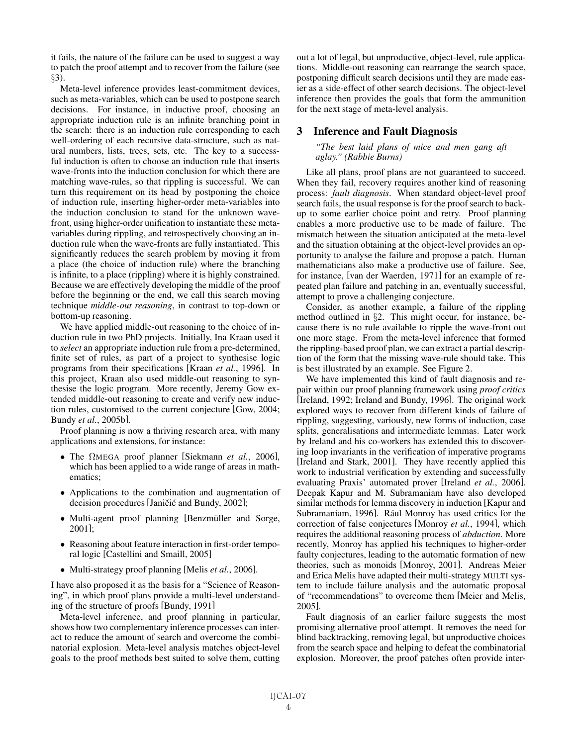it fails, the nature of the failure can be used to suggest a way to patch the proof attempt and to recover from the failure (see §3).

Meta-level inference provides least-commitment devices, such as meta-variables, which can be used to postpone search decisions. For instance, in inductive proof, choosing an appropriate induction rule is an infinite branching point in the search: there is an induction rule corresponding to each well-ordering of each recursive data-structure, such as natural numbers, lists, trees, sets, etc. The key to a successful induction is often to choose an induction rule that inserts wave-fronts into the induction conclusion for which there are matching wave-rules, so that rippling is successful. We can turn this requirement on its head by postponing the choice of induction rule, inserting higher-order meta-variables into the induction conclusion to stand for the unknown wavefront, using higher-order unification to instantiate these metavariables during rippling, and retrospectively choosing an induction rule when the wave-fronts are fully instantiated. This significantly reduces the search problem by moving it from a place (the choice of induction rule) where the branching is infinite, to a place (rippling) where it is highly constrained. Because we are effectively developing the middle of the proof before the beginning or the end, we call this search moving technique *middle-out reasoning*, in contrast to top-down or bottom-up reasoning.

We have applied middle-out reasoning to the choice of induction rule in two PhD projects. Initially, Ina Kraan used it to *select* an appropriate induction rule from a pre-determined, finite set of rules, as part of a project to synthesise logic programs from their specifications [Kraan *et al.*, 1996]. In this project, Kraan also used middle-out reasoning to synthesise the logic program. More recently, Jeremy Gow extended middle-out reasoning to create and verify new induction rules, customised to the current conjecture [Gow, 2004; Bundy *et al.*, 2005b].

Proof planning is now a thriving research area, with many applications and extensions, for instance:

- The ΩMEGA proof planner [Siekmann *et al.*, 2006], which has been applied to a wide range of areas in mathematics;
- Applications to the combination and augmentation of decision procedures [Janičić and Bundy, 2002];
- Multi-agent proof planning [Benzmüller and Sorge, 2001];
- Reasoning about feature interaction in first-order temporal logic [Castellini and Smaill, 2005]
- Multi-strategy proof planning [Melis *et al.*, 2006].

I have also proposed it as the basis for a "Science of Reasoning", in which proof plans provide a multi-level understanding of the structure of proofs [Bundy, 1991]

Meta-level inference, and proof planning in particular, shows how two complementary inference processes can interact to reduce the amount of search and overcome the combinatorial explosion. Meta-level analysis matches object-level goals to the proof methods best suited to solve them, cutting out a lot of legal, but unproductive, object-level, rule applications. Middle-out reasoning can rearrange the search space, postponing difficult search decisions until they are made easier as a side-effect of other search decisions. The object-level inference then provides the goals that form the ammunition for the next stage of meta-level analysis.

## 3 Inference and Fault Diagnosis

*"The best laid plans of mice and men gang aft aglay." (Rabbie Burns)*

Like all plans, proof plans are not guaranteed to succeed. When they fail, recovery requires another kind of reasoning process: *fault diagnosis*. When standard object-level proof search fails, the usual response is for the proof search to backup to some earlier choice point and retry. Proof planning enables a more productive use to be made of failure. The mismatch between the situation anticipated at the meta-level and the situation obtaining at the object-level provides an opportunity to analyse the failure and propose a patch. Human mathematicians also make a productive use of failure. See, for instance, [van der Waerden, 1971] for an example of repeated plan failure and patching in an, eventually successful, attempt to prove a challenging conjecture.

Consider, as another example, a failure of the rippling method outlined in §2. This might occur, for instance, because there is no rule available to ripple the wave-front out one more stage. From the meta-level inference that formed the rippling-based proof plan, we can extract a partial description of the form that the missing wave-rule should take. This is best illustrated by an example. See Figure 2.

We have implemented this kind of fault diagnosis and repair within our proof planning framework using *proof critics* [Ireland, 1992; Ireland and Bundy, 1996]. The original work explored ways to recover from different kinds of failure of rippling, suggesting, variously, new forms of induction, case splits, generalisations and intermediate lemmas. Later work by Ireland and his co-workers has extended this to discovering loop invariants in the verification of imperative programs [Ireland and Stark, 2001]. They have recently applied this work to industrial verification by extending and successfully evaluating Praxis' automated prover [Ireland *et al.*, 2006]. Deepak Kapur and M. Subramaniam have also developed similar methods for lemma discovery in induction [Kapur and Subramaniam, 1996]. Rául Monroy has used critics for the correction of false conjectures [Monroy *et al.*, 1994], which requires the additional reasoning process of *abduction*. More recently, Monroy has applied his techniques to higher-order faulty conjectures, leading to the automatic formation of new theories, such as monoids [Monroy, 2001]. Andreas Meier and Erica Melis have adapted their multi-strategy MULTI system to include failure analysis and the automatic proposal of "recommendations" to overcome them [Meier and Melis, 2005].

Fault diagnosis of an earlier failure suggests the most promising alternative proof attempt. It removes the need for blind backtracking, removing legal, but unproductive choices from the search space and helping to defeat the combinatorial explosion. Moreover, the proof patches often provide inter-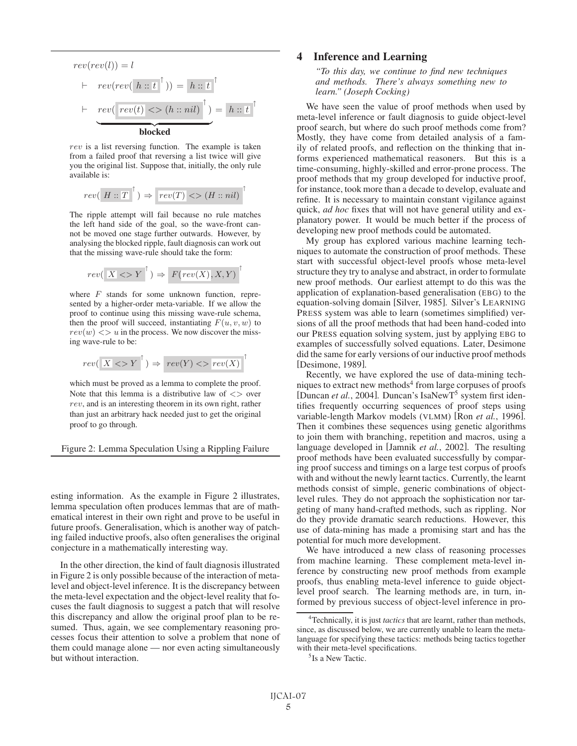$$
rev(rev(l)) = l
$$
  
+ 
$$
rev(rev(h::\overline{t}^{\uparrow})) = h::\overline{t}^{\uparrow}
$$
  
+ 
$$
rev(\underline{rev(t)} \iff (h::nil)^{\uparrow}) = h::\overline{t}^{\uparrow}
$$
  
**blocked**

rev is a list reversing function. The example is taken from a failed proof that reversing a list twice will give you the original list. Suppose that, initially, the only rule available is:

$$
rev([H::T]^\uparrow) \Rightarrow \boxed{rev(T)} \iff (H::nil)^\uparrow
$$

The ripple attempt will fail because no rule matches the left hand side of the goal, so the wave-front cannot be moved one stage further outwards. However, by analysing the blocked ripple, fault diagnosis can work out that the missing wave-rule should take the form:

$$
rev(\boxed{X} \Longleftrightarrow Y^{\top}) \Rightarrow F(rev(X), X, Y)^{\top}
$$

where  $F$  stands for some unknown function, represented by a higher-order meta-variable. If we allow the proof to continue using this missing wave-rule schema, then the proof will succeed, instantiating  $F(u, v, w)$  to  $rev(w) \ll v$  in the process. We now discover the missing wave-rule to be:

$$
rev(\begin{array}{c|c} X < > Y \end{array}^{\uparrow}) \Rightarrow rev(Y) < > \boxed{rev(X)}
$$

↑

which must be proved as a lemma to complete the proof. Note that this lemma is a distributive law of  $\langle \rangle$  over rev, and is an interesting theorem in its own right, rather than just an arbitrary hack needed just to get the original proof to go through.

Figure 2: Lemma Speculation Using a Rippling Failure

esting information. As the example in Figure 2 illustrates, lemma speculation often produces lemmas that are of mathematical interest in their own right and prove to be useful in future proofs. Generalisation, which is another way of patching failed inductive proofs, also often generalises the original conjecture in a mathematically interesting way.

In the other direction, the kind of fault diagnosis illustrated in Figure 2 is only possible because of the interaction of metalevel and object-level inference. It is the discrepancy between the meta-level expectation and the object-level reality that focuses the fault diagnosis to suggest a patch that will resolve this discrepancy and allow the original proof plan to be resumed. Thus, again, we see complementary reasoning processes focus their attention to solve a problem that none of them could manage alone — nor even acting simultaneously but without interaction.

# 4 Inference and Learning

*"To this day, we continue to find new techniques and methods. There's always something new to learn." (Joseph Cocking)*

We have seen the value of proof methods when used by meta-level inference or fault diagnosis to guide object-level proof search, but where do such proof methods come from? Mostly, they have come from detailed analysis of a family of related proofs, and reflection on the thinking that informs experienced mathematical reasoners. But this is a time-consuming, highly-skilled and error-prone process. The proof methods that my group developed for inductive proof, for instance, took more than a decade to develop, evaluate and refine. It is necessary to maintain constant vigilance against quick, *ad hoc* fixes that will not have general utility and explanatory power. It would be much better if the process of developing new proof methods could be automated.

My group has explored various machine learning techniques to automate the construction of proof methods. These start with successful object-level proofs whose meta-level structure they try to analyse and abstract, in order to formulate new proof methods. Our earliest attempt to do this was the application of explanation-based generalisation (EBG) to the equation-solving domain [Silver, 1985]. Silver's LEARNING PRESS system was able to learn (sometimes simplified) versions of all the proof methods that had been hand-coded into our PRESS equation solving system, just by applying EBG to examples of successfully solved equations. Later, Desimone did the same for early versions of our inductive proof methods [Desimone, 1989].

Recently, we have explored the use of data-mining techniques to extract new methods $4$  from large corpuses of proofs [Duncan *et al.*, 2004]. Duncan's IsaNewT<sup>5</sup> system first identifies frequently occurring sequences of proof steps using variable-length Markov models (VLMM) [Ron *et al.*, 1996]. Then it combines these sequences using genetic algorithms to join them with branching, repetition and macros, using a language developed in [Jamnik *et al.*, 2002]. The resulting proof methods have been evaluated successfully by comparing proof success and timings on a large test corpus of proofs with and without the newly learnt tactics. Currently, the learnt methods consist of simple, generic combinations of objectlevel rules. They do not approach the sophistication nor targeting of many hand-crafted methods, such as rippling. Nor do they provide dramatic search reductions. However, this use of data-mining has made a promising start and has the potential for much more development.

We have introduced a new class of reasoning processes from machine learning. These complement meta-level inference by constructing new proof methods from example proofs, thus enabling meta-level inference to guide objectlevel proof search. The learning methods are, in turn, informed by previous success of object-level inference in pro-

<sup>4</sup> Technically, it is just *tactics* that are learnt, rather than methods, since, as discussed below, we are currently unable to learn the metalanguage for specifying these tactics: methods being tactics together with their meta-level specifications.

<sup>&</sup>lt;sup>5</sup>Is a New Tactic.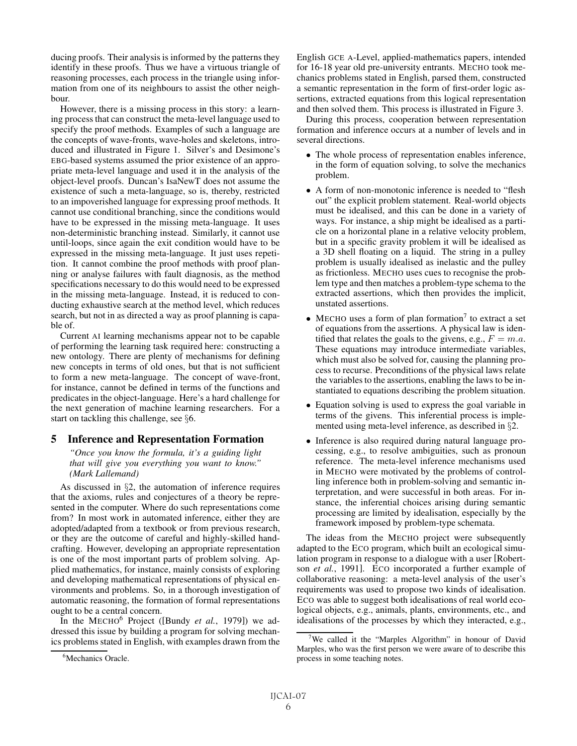ducing proofs. Their analysis is informed by the patterns they identify in these proofs. Thus we have a virtuous triangle of reasoning processes, each process in the triangle using information from one of its neighbours to assist the other neighbour.

However, there is a missing process in this story: a learning process that can construct the meta-level language used to specify the proof methods. Examples of such a language are the concepts of wave-fronts, wave-holes and skeletons, introduced and illustrated in Figure 1. Silver's and Desimone's EBG-based systems assumed the prior existence of an appropriate meta-level language and used it in the analysis of the object-level proofs. Duncan's IsaNewT does not assume the existence of such a meta-language, so is, thereby, restricted to an impoverished language for expressing proof methods. It cannot use conditional branching, since the conditions would have to be expressed in the missing meta-language. It uses non-deterministic branching instead. Similarly, it cannot use until-loops, since again the exit condition would have to be expressed in the missing meta-language. It just uses repetition. It cannot combine the proof methods with proof planning or analyse failures with fault diagnosis, as the method specifications necessary to do this would need to be expressed in the missing meta-language. Instead, it is reduced to conducting exhaustive search at the method level, which reduces search, but not in as directed a way as proof planning is capable of.

Current AI learning mechanisms appear not to be capable of performing the learning task required here: constructing a new ontology. There are plenty of mechanisms for defining new concepts in terms of old ones, but that is not sufficient to form a new meta-language. The concept of wave-front, for instance, cannot be defined in terms of the functions and predicates in the object-language. Here's a hard challenge for the next generation of machine learning researchers. For a start on tackling this challenge, see §6.

## 5 Inference and Representation Formation

*"Once you know the formula, it's a guiding light that will give you everything you want to know." (Mark Lallemand)*

As discussed in §2, the automation of inference requires that the axioms, rules and conjectures of a theory be represented in the computer. Where do such representations come from? In most work in automated inference, either they are adopted/adapted from a textbook or from previous research, or they are the outcome of careful and highly-skilled handcrafting. However, developing an appropriate representation is one of the most important parts of problem solving. Applied mathematics, for instance, mainly consists of exploring and developing mathematical representations of physical environments and problems. So, in a thorough investigation of automatic reasoning, the formation of formal representations ought to be a central concern.

In the MECHO<sup>6</sup> Project ([Bundy *et al.*, 1979]) we addressed this issue by building a program for solving mechanics problems stated in English, with examples drawn from the English GCE A-Level, applied-mathematics papers, intended for 16-18 year old pre-university entrants. MECHO took mechanics problems stated in English, parsed them, constructed a semantic representation in the form of first-order logic assertions, extracted equations from this logical representation and then solved them. This process is illustrated in Figure 3.

During this process, cooperation between representation formation and inference occurs at a number of levels and in several directions.

- The whole process of representation enables inference, in the form of equation solving, to solve the mechanics problem.
- A form of non-monotonic inference is needed to "flesh" out" the explicit problem statement. Real-world objects must be idealised, and this can be done in a variety of ways. For instance, a ship might be idealised as a particle on a horizontal plane in a relative velocity problem, but in a specific gravity problem it will be idealised as a 3D shell floating on a liquid. The string in a pulley problem is usually idealised as inelastic and the pulley as frictionless. MECHO uses cues to recognise the problem type and then matches a problem-type schema to the extracted assertions, which then provides the implicit, unstated assertions.
- MECHO uses a form of plan formation<sup>7</sup> to extract a set of equations from the assertions. A physical law is identified that relates the goals to the givens, e.g.,  $F = m.a$ . These equations may introduce intermediate variables, which must also be solved for, causing the planning process to recurse. Preconditions of the physical laws relate the variables to the assertions, enabling the laws to be instantiated to equations describing the problem situation.
- Equation solving is used to express the goal variable in terms of the givens. This inferential process is implemented using meta-level inference, as described in §2.
- Inference is also required during natural language processing, e.g., to resolve ambiguities, such as pronoun reference. The meta-level inference mechanisms used in MECHO were motivated by the problems of controlling inference both in problem-solving and semantic interpretation, and were successful in both areas. For instance, the inferential choices arising during semantic processing are limited by idealisation, especially by the framework imposed by problem-type schemata.

The ideas from the MECHO project were subsequently adapted to the ECO program, which built an ecological simulation program in response to a dialogue with a user [Robertson *et al.*, 1991]. ECO incorporated a further example of collaborative reasoning: a meta-level analysis of the user's requirements was used to propose two kinds of idealisation. ECO was able to suggest both idealisations of real world ecological objects, e.g., animals, plants, environments, etc., and idealisations of the processes by which they interacted, e.g.,

<sup>6</sup> Mechanics Oracle.

<sup>&</sup>lt;sup>7</sup>We called it the "Marples Algorithm" in honour of David Marples, who was the first person we were aware of to describe this process in some teaching notes.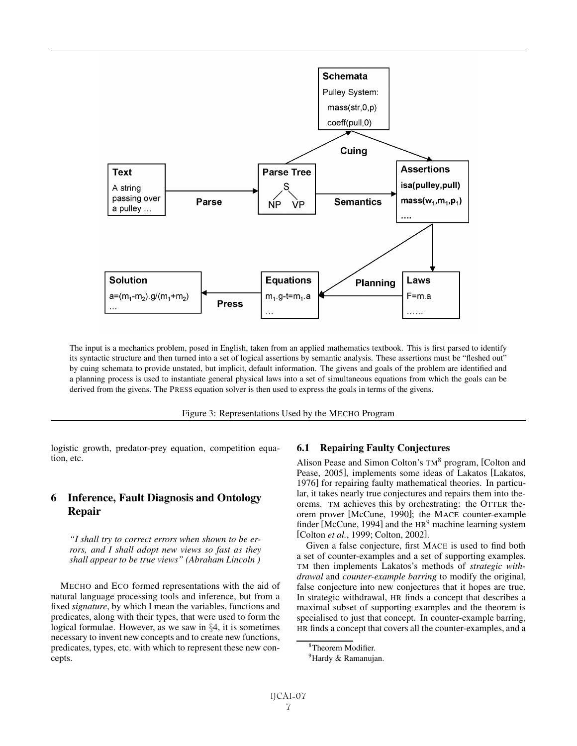

The input is a mechanics problem, posed in English, taken from an applied mathematics textbook. This is first parsed to identify its syntactic structure and then turned into a set of logical assertions by semantic analysis. These assertions must be "fleshed out" by cuing schemata to provide unstated, but implicit, default information. The givens and goals of the problem are identified and a planning process is used to instantiate general physical laws into a set of simultaneous equations from which the goals can be derived from the givens. The PRESS equation solver is then used to express the goals in terms of the givens.

Figure 3: Representations Used by the MECHO Program

logistic growth, predator-prey equation, competition equation, etc.

# 6 Inference, Fault Diagnosis and Ontology Repair

*"I shall try to correct errors when shown to be errors, and I shall adopt new views so fast as they shall appear to be true views" (Abraham Lincoln )*

MECHO and ECO formed representations with the aid of natural language processing tools and inference, but from a fixed *signature*, by which I mean the variables, functions and predicates, along with their types, that were used to form the logical formulae. However, as we saw in §4, it is sometimes necessary to invent new concepts and to create new functions, predicates, types, etc. with which to represent these new concepts.

## 6.1 Repairing Faulty Conjectures

Alison Pease and Simon Colton's TM<sup>8</sup> program, [Colton and Pease, 2005], implements some ideas of Lakatos [Lakatos, 1976] for repairing faulty mathematical theories. In particular, it takes nearly true conjectures and repairs them into theorems. TM achieves this by orchestrating: the OTTER theorem prover [McCune, 1990]; the MACE counter-example finder [McCune, 1994] and the  $HR<sup>9</sup>$  machine learning system [Colton *et al.*, 1999; Colton, 2002].

Given a false conjecture, first MACE is used to find both a set of counter-examples and a set of supporting examples. TM then implements Lakatos's methods of *strategic withdrawal* and *counter-example barring* to modify the original, false conjecture into new conjectures that it hopes are true. In strategic withdrawal, HR finds a concept that describes a maximal subset of supporting examples and the theorem is specialised to just that concept. In counter-example barring, HR finds a concept that covers all the counter-examples, and a

<sup>8</sup> Theorem Modifier.

<sup>&</sup>lt;sup>9</sup>Hardy & Ramanujan.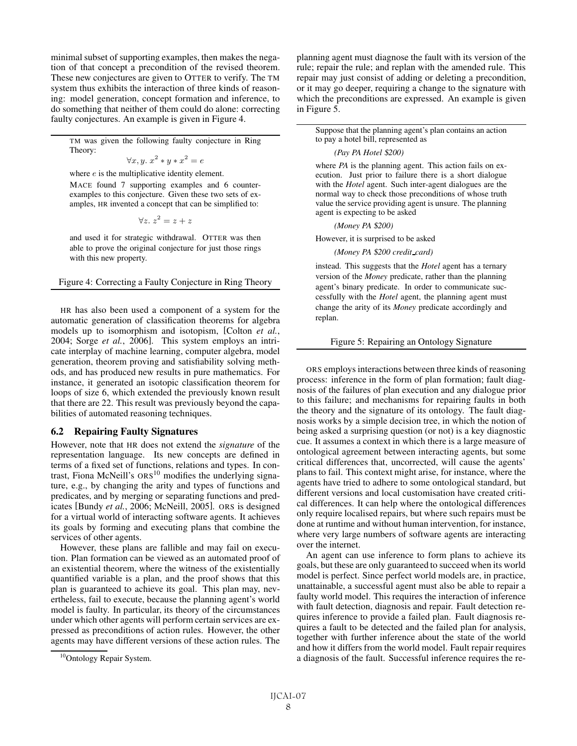minimal subset of supporting examples, then makes the negation of that concept a precondition of the revised theorem. These new conjectures are given to OTTER to verify. The TM system thus exhibits the interaction of three kinds of reasoning: model generation, concept formation and inference, to do something that neither of them could do alone: correcting faulty conjectures. An example is given in Figure 4.

TM was given the following faulty conjecture in Ring Theory:

$$
\forall x, y. \; x^2 * y * x^2 = e
$$

where  $e$  is the multiplicative identity element.

MACE found 7 supporting examples and 6 counterexamples to this conjecture. Given these two sets of examples, HR invented a concept that can be simplified to:

$$
\forall z.~z^2 = z + z
$$

and used it for strategic withdrawal. OTTER was then able to prove the original conjecture for just those rings with this new property.

Figure 4: Correcting a Faulty Conjecture in Ring Theory

HR has also been used a component of a system for the automatic generation of classification theorems for algebra models up to isomorphism and isotopism, [Colton *et al.*, 2004; Sorge *et al.*, 2006]. This system employs an intricate interplay of machine learning, computer algebra, model generation, theorem proving and satisfiability solving methods, and has produced new results in pure mathematics. For instance, it generated an isotopic classification theorem for loops of size 6, which extended the previously known result that there are 22. This result was previously beyond the capabilities of automated reasoning techniques.

#### 6.2 Repairing Faulty Signatures

However, note that HR does not extend the *signature* of the representation language. Its new concepts are defined in terms of a fixed set of functions, relations and types. In contrast, Fiona McNeill's  $ORS<sup>10</sup>$  modifies the underlying signature, e.g., by changing the arity and types of functions and predicates, and by merging or separating functions and predicates [Bundy *et al.*, 2006; McNeill, 2005]. ORS is designed for a virtual world of interacting software agents. It achieves its goals by forming and executing plans that combine the services of other agents.

However, these plans are fallible and may fail on execution. Plan formation can be viewed as an automated proof of an existential theorem, where the witness of the existentially quantified variable is a plan, and the proof shows that this plan is guaranteed to achieve its goal. This plan may, nevertheless, fail to execute, because the planning agent's world model is faulty. In particular, its theory of the circumstances under which other agents will perform certain services are expressed as preconditions of action rules. However, the other agents may have different versions of these action rules. The

planning agent must diagnose the fault with its version of the rule; repair the rule; and replan with the amended rule. This repair may just consist of adding or deleting a precondition, or it may go deeper, requiring a change to the signature with which the preconditions are expressed. An example is given in Figure 5.

Suppose that the planning agent's plan contains an action to pay a hotel bill, represented as

#### *(Pay PA Hotel* \$*200)*

where *PA* is the planning agent. This action fails on execution. Just prior to failure there is a short dialogue with the *Hotel* agent. Such inter-agent dialogues are the normal way to check those preconditions of whose truth value the service providing agent is unsure. The planning agent is expecting to be asked

*(Money PA* \$*200)*

However, it is surprised to be asked

*(Money PA* \$*200 credit card)*

instead. This suggests that the *Hotel* agent has a ternary version of the *Money* predicate, rather than the planning agent's binary predicate. In order to communicate successfully with the *Hotel* agent, the planning agent must change the arity of its *Money* predicate accordingly and replan.

Figure 5: Repairing an Ontology Signature

ORS employs interactions between three kinds of reasoning process: inference in the form of plan formation; fault diagnosis of the failures of plan execution and any dialogue prior to this failure; and mechanisms for repairing faults in both the theory and the signature of its ontology. The fault diagnosis works by a simple decision tree, in which the notion of being asked a surprising question (or not) is a key diagnostic cue. It assumes a context in which there is a large measure of ontological agreement between interacting agents, but some critical differences that, uncorrected, will cause the agents' plans to fail. This context might arise, for instance, where the agents have tried to adhere to some ontological standard, but different versions and local customisation have created critical differences. It can help where the ontological differences only require localised repairs, but where such repairs must be done at runtime and without human intervention, for instance, where very large numbers of software agents are interacting over the internet.

An agent can use inference to form plans to achieve its goals, but these are only guaranteed to succeed when its world model is perfect. Since perfect world models are, in practice, unattainable, a successful agent must also be able to repair a faulty world model. This requires the interaction of inference with fault detection, diagnosis and repair. Fault detection requires inference to provide a failed plan. Fault diagnosis requires a fault to be detected and the failed plan for analysis, together with further inference about the state of the world and how it differs from the world model. Fault repair requires a diagnosis of the fault. Successful inference requires the re-

<sup>&</sup>lt;sup>10</sup>Ontology Repair System.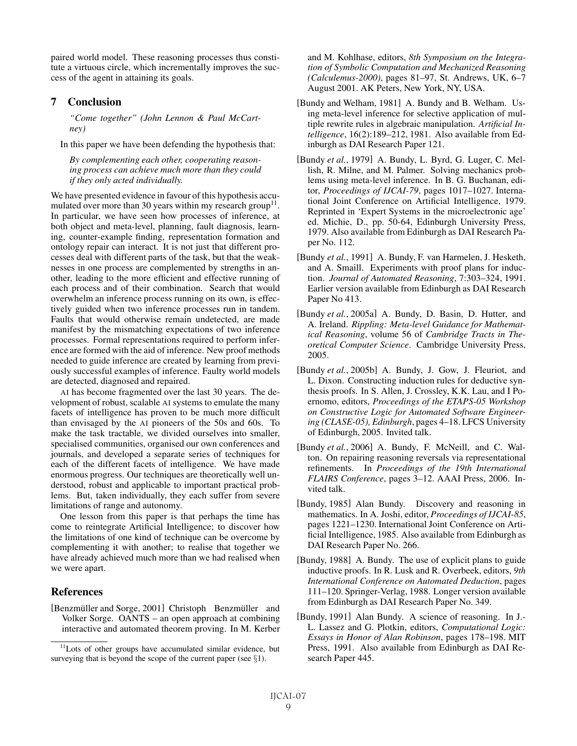paired world model. These reasoning processes thus constitute a virtuous circle, which incrementally improves the success of the agent in attaining its goals.

# 7 Conclusion

*"Come together" (John Lennon & Paul McCartney)*

In this paper we have been defending the hypothesis that:

*By complementing each other, cooperating reasoning process can achieve much more than they could if they only acted individually.*

We have presented evidence in favour of this hypothesis accumulated over more than 30 years within my research group<sup>11</sup>. In particular, we have seen how processes of inference, at both object and meta-level, planning, fault diagnosis, learning, counter-example finding, representation formation and ontology repair can interact. It is not just that different processes deal with different parts of the task, but that the weaknesses in one process are complemented by strengths in another, leading to the more efficient and effective running of each process and of their combination. Search that would overwhelm an inference process running on its own, is effectively guided when two inference processes run in tandem. Faults that would otherwise remain undetected, are made manifest by the mismatching expectations of two inference processes. Formal representations required to perform inference are formed with the aid of inference. New proof methods needed to guide inference are created by learning from previously successful examples of inference. Faulty world models are detected, diagnosed and repaired.

AI has become fragmented over the last 30 years. The development of robust, scalable AI systems to emulate the many facets of intelligence has proven to be much more difficult than envisaged by the AI pioneers of the 50s and 60s. To make the task tractable, we divided ourselves into smaller, specialised communities, organised our own conferences and journals, and developed a separate series of techniques for each of the different facets of intelligence. We have made enormous progress. Our techniques are theoretically well understood, robust and applicable to important practical problems. But, taken individually, they each suffer from severe limitations of range and autonomy.

One lesson from this paper is that perhaps the time has come to reintegrate Artificial Intelligence; to discover how the limitations of one kind of technique can be overcome by complementing it with another; to realise that together we have already achieved much more than we had realised when we were apart.

## References

[Benzmüller and Sorge, 2001] Christoph Benzmüller and Volker Sorge. OANTS – an open approach at combining interactive and automated theorem proving. In M. Kerber and M. Kohlhase, editors, *8th Symposium on the Integration of Symbolic Computation and Mechanized Reasoning (Calculemus-2000)*, pages 81–97, St. Andrews, UK, 6–7 August 2001. AK Peters, New York, NY, USA.

- [Bundy and Welham, 1981] A. Bundy and B. Welham. Using meta-level inference for selective application of multiple rewrite rules in algebraic manipulation. *Artificial Intelligence*, 16(2):189–212, 1981. Also available from Edinburgh as DAI Research Paper 121.
- [Bundy *et al.*, 1979] A. Bundy, L. Byrd, G. Luger, C. Mellish, R. Milne, and M. Palmer. Solving mechanics problems using meta-level inference. In B. G. Buchanan, editor, *Proceedings of IJCAI-79*, pages 1017–1027. International Joint Conference on Artificial Intelligence, 1979. Reprinted in 'Expert Systems in the microelectronic age' ed. Michie, D., pp. 50-64, Edinburgh University Press, 1979. Also available from Edinburgh as DAI Research Paper No. 112.
- [Bundy *et al.*, 1991] A. Bundy, F. van Harmelen, J. Hesketh, and A. Smaill. Experiments with proof plans for induction. *Journal of Automated Reasoning*, 7:303–324, 1991. Earlier version available from Edinburgh as DAI Research Paper No 413.
- [Bundy *et al.*, 2005a] A. Bundy, D. Basin, D. Hutter, and A. Ireland. *Rippling: Meta-level Guidance for Mathematical Reasoning*, volume 56 of *Cambridge Tracts in Theoretical Computer Science*. Cambridge University Press, 2005.
- [Bundy *et al.*, 2005b] A. Bundy, J. Gow, J. Fleuriot, and L. Dixon. Constructing induction rules for deductive synthesis proofs. In S. Allen, J. Crossley, K.K. Lau, and I Poernomo, editors, *Proceedings of the ETAPS-05 Workshop on Constructive Logic for Automated Software Engineering (CLASE-05), Edinburgh*, pages 4–18. LFCS University of Edinburgh, 2005. Invited talk.
- [Bundy *et al.*, 2006] A. Bundy, F. McNeill, and C. Walton. On repairing reasoning reversals via representational refinements. In *Proceedings of the 19th International FLAIRS Conference*, pages 3–12. AAAI Press, 2006. Invited talk.
- [Bundy, 1985] Alan Bundy. Discovery and reasoning in mathematics. In A. Joshi, editor, *Proceedings of IJCAI-85*, pages 1221–1230. International Joint Conference on Artificial Intelligence, 1985. Also available from Edinburgh as DAI Research Paper No. 266.
- [Bundy, 1988] A. Bundy. The use of explicit plans to guide inductive proofs. In R. Lusk and R. Overbeek, editors, *9th International Conference on Automated Deduction*, pages 111–120. Springer-Verlag, 1988. Longer version available from Edinburgh as DAI Research Paper No. 349.
- [Bundy, 1991] Alan Bundy. A science of reasoning. In J.- L. Lassez and G. Plotkin, editors, *Computational Logic: Essays in Honor of Alan Robinson*, pages 178–198. MIT Press, 1991. Also available from Edinburgh as DAI Research Paper 445.

<sup>&</sup>lt;sup>11</sup>Lots of other groups have accumulated similar evidence, but surveying that is beyond the scope of the current paper (see  $\S1$ ).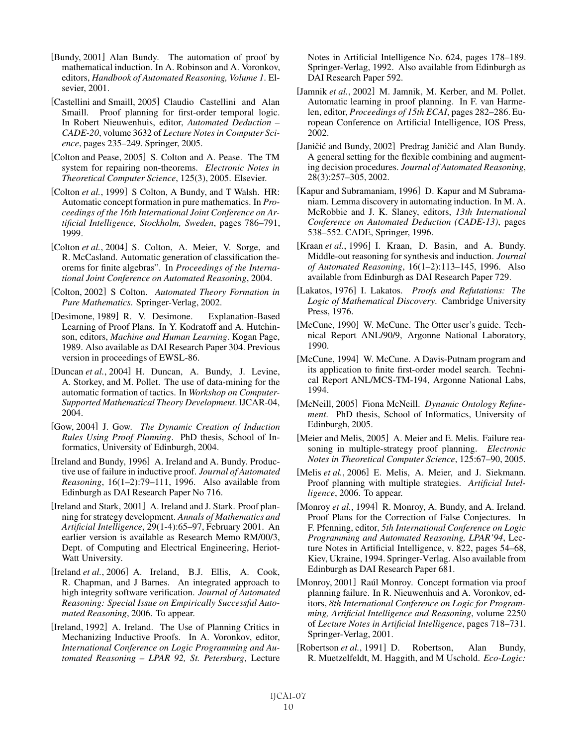- [Bundy, 2001] Alan Bundy. The automation of proof by mathematical induction. In A. Robinson and A. Voronkov, editors, *Handbook of Automated Reasoning, Volume 1*. Elsevier, 2001.
- [Castellini and Smaill, 2005] Claudio Castellini and Alan Smaill. Proof planning for first-order temporal logic. In Robert Nieuwenhuis, editor, *Automated Deduction – CADE-20*, volume 3632 of *Lecture Notes in Computer Science*, pages 235–249. Springer, 2005.
- [Colton and Pease, 2005] S. Colton and A. Pease. The TM system for repairing non-theorems. *Electronic Notes in Theoretical Computer Science*, 125(3), 2005. Elsevier.
- [Colton *et al.*, 1999] S Colton, A Bundy, and T Walsh. HR: Automatic concept formation in pure mathematics. In *Proceedings of the 16th International Joint Conference on Artificial Intelligence, Stockholm, Sweden*, pages 786–791, 1999.
- [Colton *et al.*, 2004] S. Colton, A. Meier, V. Sorge, and R. McCasland. Automatic generation of classification theorems for finite algebras". In *Proceedings of the International Joint Conference on Automated Reasoning*, 2004.
- [Colton, 2002] S Colton. *Automated Theory Formation in Pure Mathematics*. Springer-Verlag, 2002.
- [Desimone, 1989] R. V. Desimone. Explanation-Based Learning of Proof Plans. In Y. Kodratoff and A. Hutchinson, editors, *Machine and Human Learning*. Kogan Page, 1989. Also available as DAI Research Paper 304. Previous version in proceedings of EWSL-86.
- [Duncan *et al.*, 2004] H. Duncan, A. Bundy, J. Levine, A. Storkey, and M. Pollet. The use of data-mining for the automatic formation of tactics. In *Workshop on Computer-Supported Mathematical Theory Development*. IJCAR-04, 2004.
- [Gow, 2004] J. Gow. *The Dynamic Creation of Induction Rules Using Proof Planning*. PhD thesis, School of Informatics, University of Edinburgh, 2004.
- [Ireland and Bundy, 1996] A. Ireland and A. Bundy. Productive use of failure in inductive proof. *Journal of Automated Reasoning*, 16(1–2):79–111, 1996. Also available from Edinburgh as DAI Research Paper No 716.
- [Ireland and Stark, 2001] A. Ireland and J. Stark. Proof planning for strategy development. *Annals of Mathematics and Artificial Intelligence*, 29(1-4):65–97, February 2001. An earlier version is available as Research Memo RM/00/3, Dept. of Computing and Electrical Engineering, Heriot-Watt University.
- [Ireland *et al.*, 2006] A. Ireland, B.J. Ellis, A. Cook, R. Chapman, and J Barnes. An integrated approach to high integrity software verification. *Journal of Automated Reasoning: Special Issue on Empirically Successful Automated Reasoning*, 2006. To appear.
- [Ireland, 1992] A. Ireland. The Use of Planning Critics in Mechanizing Inductive Proofs. In A. Voronkov, editor, *International Conference on Logic Programming and Automated Reasoning – LPAR 92, St. Petersburg*, Lecture

Notes in Artificial Intelligence No. 624, pages 178–189. Springer-Verlag, 1992. Also available from Edinburgh as DAI Research Paper 592.

- [Jamnik *et al.*, 2002] M. Jamnik, M. Kerber, and M. Pollet. Automatic learning in proof planning. In F. van Harmelen, editor, *Proceedings of 15th ECAI*, pages 282–286. European Conference on Artificial Intelligence, IOS Press, 2002.
- [Janičić and Bundy, 2002] Predrag Janičić and Alan Bundy. A general setting for the flexible combining and augmenting decision procedures. *Journal of Automated Reasoning*, 28(3):257–305, 2002.
- [Kapur and Subramaniam, 1996] D. Kapur and M Subramaniam. Lemma discovery in automating induction. In M. A. McRobbie and J. K. Slaney, editors, *13th International Conference on Automated Deduction (CADE-13)*, pages 538–552. CADE, Springer, 1996.
- [Kraan *et al.*, 1996] I. Kraan, D. Basin, and A. Bundy. Middle-out reasoning for synthesis and induction. *Journal of Automated Reasoning*, 16(1–2):113–145, 1996. Also available from Edinburgh as DAI Research Paper 729.
- [Lakatos, 1976] I. Lakatos. *Proofs and Refutations: The Logic of Mathematical Discovery*. Cambridge University Press, 1976.
- [McCune, 1990] W. McCune. The Otter user's guide. Technical Report ANL/90/9, Argonne National Laboratory, 1990.
- [McCune, 1994] W. McCune. A Davis-Putnam program and its application to finite first-order model search. Technical Report ANL/MCS-TM-194, Argonne National Labs, 1994.
- [McNeill, 2005] Fiona McNeill. *Dynamic Ontology Refinement*. PhD thesis, School of Informatics, University of Edinburgh, 2005.
- [Meier and Melis, 2005] A. Meier and E. Melis. Failure reasoning in multiple-strategy proof planning. *Electronic Notes in Theoretical Computer Science*, 125:67–90, 2005.
- [Melis et al., 2006] E. Melis, A. Meier, and J. Siekmann. Proof planning with multiple strategies. *Artificial Intelligence*, 2006. To appear.
- [Monroy *et al.*, 1994] R. Monroy, A. Bundy, and A. Ireland. Proof Plans for the Correction of False Conjectures. In F. Pfenning, editor, *5th International Conference on Logic Programming and Automated Reasoning, LPAR'94*, Lecture Notes in Artificial Intelligence, v. 822, pages 54–68, Kiev, Ukraine, 1994. Springer-Verlag. Also available from Edinburgh as DAI Research Paper 681.
- [Monroy, 2001] Raúl Monroy. Concept formation via proof planning failure. In R. Nieuwenhuis and A. Voronkov, editors, *8th International Conference on Logic for Programming, Artificial Intelligence and Reasoning*, volume 2250 of *Lecture Notes in Artificial Intelligence*, pages 718–731. Springer-Verlag, 2001.
- [Robertson *et al.*, 1991] D. Robertson, Alan Bundy, R. Muetzelfeldt, M. Haggith, and M Uschold. *Eco-Logic:*